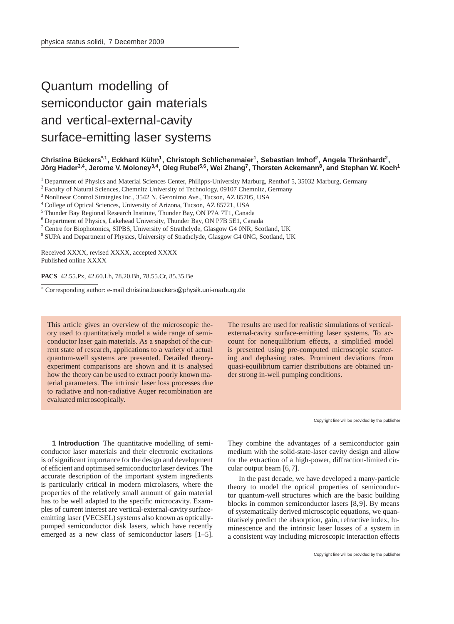## Quantum modelling of semiconductor gain materials and vertical-external-cavity surface-emitting laser systems

## **Christina Bückers<sup>\*,1</sup>, Eckhard Kühn<sup>1</sup>, Christoph Schlichenmaier<sup>1</sup>, Sebastian Imhof<sup>2</sup>, Angela Thränhardt<sup>2</sup>,** Jörg Hader<sup>3,4</sup>, Jerome V. Moloney<sup>3,4</sup>, Oleg Rubel<sup>5,6</sup>, Wei Zhang<sup>7</sup>, Thorsten Ackemann<sup>8</sup>, and Stephan W. Koch<sup>1</sup>

<sup>1</sup> Department of Physics and Material Sciences Center, Philipps-University Marburg, Renthof 5, 35032 Marburg, Germany

<sup>2</sup> Faculty of Natural Sciences, Chemnitz University of Technology, 09107 Chemnitz, Germany

<sup>3</sup> Nonlinear Control Strategies Inc., 3542 N. Geronimo Ave., Tucson, AZ 85705, USA

<sup>4</sup> College of Optical Sciences, University of Arizona, Tucson, AZ 85721, USA

<sup>5</sup> Thunder Bay Regional Research Institute, Thunder Bay, ON P7A 7T1, Canada

<sup>6</sup> Department of Physics, Lakehead University, Thunder Bay, ON P7B 5E1, Canada

<sup>7</sup> Centre for Biophotonics, SIPBS, University of Strathclyde, Glasgow G4 0NR, Scotland, UK

<sup>8</sup> SUPA and Department of Physics, University of Strathclyde, Glasgow G4 0NG, Scotland, UK

Received XXXX, revised XXXX, accepted XXXX Published online XXXX

## **PACS** 42.55.Px, 42.60.Lh, 78.20.Bh, 78.55.Cr, 85.35.Be

<sup>∗</sup> Corresponding author: e-mail christina.bueckers@physik.uni-marburg.de

This article gives an overview of the microscopic theory used to quantitatively model a wide range of semiconductor laser gain materials. As a snapshot of the current state of research, applications to a variety of actual quantum-well systems are presented. Detailed theoryexperiment comparisons are shown and it is analysed how the theory can be used to extract poorly known material parameters. The intrinsic laser loss processes due to radiative and non-radiative Auger recombination are evaluated microscopically.

The results are used for realistic simulations of verticalexternal-cavity surface-emitting laser systems. To account for nonequilibrium effects, a simplified model is presented using pre-computed microscopic scattering and dephasing rates. Prominent deviations from quasi-equilibrium carrier distributions are obtained under strong in-well pumping conditions.

Copyright line will be provided by the publisher

**1 Introduction** The quantitative modelling of semiconductor laser materials and their electronic excitations is of significant importance for the design and development of efficient and optimised semiconductor laser devices. The accurate description of the important system ingredients is particularly critical in modern microlasers, where the properties of the relatively small amount of gain material has to be well adapted to the specific microcavity. Examples of current interest are vertical-external-cavity surfaceemitting laser (VECSEL) systems also known as opticallypumped semiconductor disk lasers, which have recently emerged as a new class of semiconductor lasers [1–5]. They combine the advantages of a semiconductor gain medium with the solid-state-laser cavity design and allow for the extraction of a high-power, diffraction-limited circular output beam [6,7].

In the past decade, we have developed a many-particle theory to model the optical properties of semiconductor quantum-well structures which are the basic building blocks in common semiconductor lasers [8,9]. By means of systematically derived microscopic equations, we quantitatively predict the absorption, gain, refractive index, luminescence and the intrinsic laser losses of a system in a consistent way including microscopic interaction effects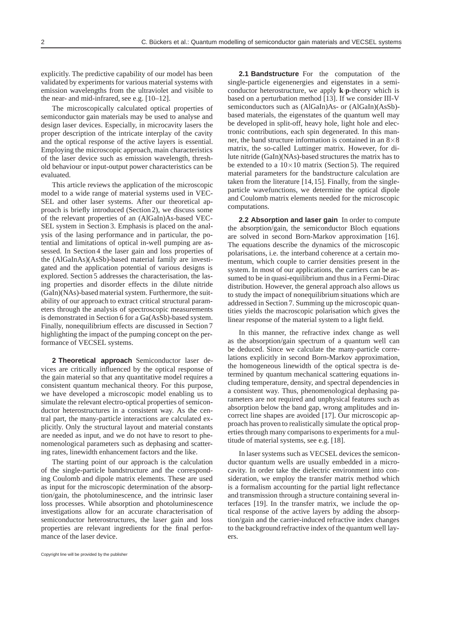explicitly. The predictive capability of our model has been validated by experiments for various material systems with emission wavelengths from the ultraviolet and visible to the near- and mid-infrared, see e.g. [10–12].

The microscopically calculated optical properties of semiconductor gain materials may be used to analyse and design laser devices. Especially, in microcavity lasers the proper description of the intricate interplay of the cavity and the optical response of the active layers is essential. Employing the microscopic approach, main characteristics of the laser device such as emission wavelength, threshold behaviour or input-output power characteristics can be evaluated.

This article reviews the application of the microscopic model to a wide range of material systems used in VEC-SEL and other laser systems. After our theoretical approach is briefly introduced (Section 2), we discuss some of the relevant properties of an (AlGaIn)As-based VEC-SEL system in Section 3. Emphasis is placed on the analysis of the lasing performance and in particular, the potential and limitations of optical in-well pumping are assessed. In Section 4 the laser gain and loss properties of the (AlGaInAs)(AsSb)-based material family are investigated and the application potential of various designs is explored. Section 5 addresses the characterisation, the lasing properties and disorder effects in the dilute nitride (GaIn)(NAs)-based material system. Furthermore, the suitability of our approach to extract critical structural parameters through the analysis of spectroscopic measurements is demonstrated in Section 6 for a Ga(AsSb)-based system. Finally, nonequilibrium effects are discussed in Section 7 highlighting the impact of the pumping concept on the performance of VECSEL systems.

**2 Theoretical approach** Semiconductor laser devices are critically influenced by the optical response of the gain material so that any quantitative model requires a consistent quantum mechanical theory. For this purpose, we have developed a microscopic model enabling us to simulate the relevant electro-optical properties of semiconductor heterostructures in a consistent way. As the central part, the many-particle interactions are calculated explicitly. Only the structural layout and material constants are needed as input, and we do not have to resort to phenomenological parameters such as dephasing and scattering rates, linewidth enhancement factors and the like.

The starting point of our approach is the calculation of the single-particle bandstructure and the corresponding Coulomb and dipole matrix elements. These are used as input for the microscopic determination of the absorption/gain, the photoluminescence, and the intrinsic laser loss processes. While absorption and photoluminescence investigations allow for an accurate characterisation of semiconductor heterostructures, the laser gain and loss properties are relevant ingredients for the final performance of the laser device.

single-particle eigenenergies and eigenstates in a semiconductor heterostructure, we apply **k**·**p**-theory which is based on a perturbation method [13]. If we consider III-V semiconductors such as (AlGaIn)As- or (AlGaIn)(AsSb)based materials, the eigenstates of the quantum well may be developed in split-off, heavy hole, light hole and electronic contributions, each spin degenerated. In this manner, the band structure information is contained in an 8×8 matrix, the so-called Luttinger matrix. However, for dilute nitride (GaIn)(NAs)-based structures the matrix has to be extended to a  $10\times10$  matrix (Section 5). The required material parameters for the bandstructure calculation are taken from the literature [14,15]. Finally, from the singleparticle wavefunctions, we determine the optical dipole and Coulomb matrix elements needed for the microscopic computations.

**2.1 Bandstructure** For the computation of the

**2.2 Absorption and laser gain** In order to compute the absorption/gain, the semiconductor Bloch equations are solved in second Born-Markov approximation [16]. The equations describe the dynamics of the microscopic polarisations, i.e. the interband coherence at a certain momentum, which couple to carrier densities present in the system. In most of our applications, the carriers can be assumed to be in quasi-equilibrium and thus in a Fermi-Dirac distribution. However, the general approach also allows us to study the impact of nonequilibrium situations which are addressed in Section 7. Summing up the microscopic quantities yields the macroscopic polarisation which gives the linear response of the material system to a light field.

In this manner, the refractive index change as well as the absorption/gain spectrum of a quantum well can be deduced. Since we calculate the many-particle correlations explicitly in second Born-Markov approximation, the homogeneous linewidth of the optical spectra is determined by quantum mechanical scattering equations including temperature, density, and spectral dependencies in a consistent way. Thus, phenomenological dephasing parameters are not required and unphysical features such as absorption below the band gap, wrong amplitudes and incorrect line shapes are avoided [17]. Our microscopic approach has proven to realistically simulate the optical properties through many comparisons to experiments for a multitude of material systems, see e.g. [18].

In laser systems such as VECSEL devices the semiconductor quantum wells are usually embedded in a microcavity. In order take the dielectric environment into consideration, we employ the transfer matrix method which is a formalism accounting for the partial light reflectance and transmission through a structure containing several interfaces [19]. In the transfer matrix, we include the optical response of the active layers by adding the absorption/gain and the carrier-induced refractive index changes to the background refractive index of the quantum well layers.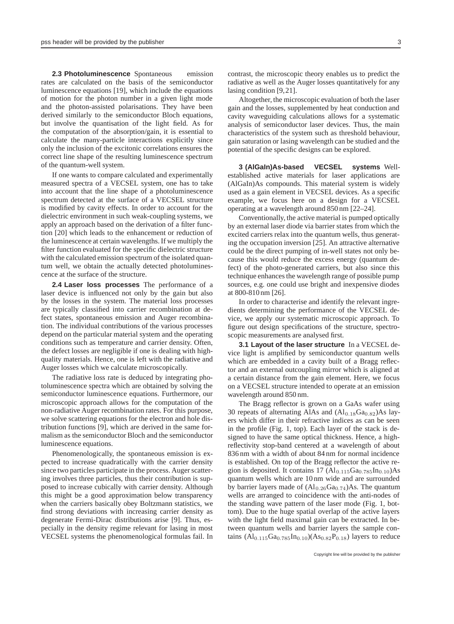**2.3 Photoluminescence** Spontaneous emission rates are calculated on the basis of the semiconductor luminescence equations [19], which include the equations of motion for the photon number in a given light mode and the photon-assisted polarisations. They have been derived similarly to the semiconductor Bloch equations, but involve the quantisation of the light field. As for the computation of the absorption/gain, it is essential to calculate the many-particle interactions explicitly since only the inclusion of the excitonic correlations ensures the correct line shape of the resulting luminescence spectrum of the quantum-well system.

If one wants to compare calculated and experimentally measured spectra of a VECSEL system, one has to take into account that the line shape of a photoluminescence spectrum detected at the surface of a VECSEL structure is modified by cavity effects. In order to account for the dielectric environment in such weak-coupling systems, we apply an approach based on the derivation of a filter function [20] which leads to the enhancement or reduction of the luminescence at certain wavelengths. If we multiply the filter function evaluated for the specific dielectric structure with the calculated emission spectrum of the isolated quantum well, we obtain the actually detected photoluminescence at the surface of the structure.

**2.4 Laser loss processes** The performance of a laser device is influenced not only by the gain but also by the losses in the system. The material loss processes are typically classified into carrier recombination at defect states, spontaneous emission and Auger recombination. The individual contributions of the various processes depend on the particular material system and the operating conditions such as temperature and carrier density. Often, the defect losses are negligible if one is dealing with highquality materials. Hence, one is left with the radiative and Auger losses which we calculate microscopically.

The radiative loss rate is deduced by integrating photoluminescence spectra which are obtained by solving the semiconductor luminescence equations. Furthermore, our microscopic approach allows for the computation of the non-radiative Auger recombination rates. For this purpose, we solve scattering equations for the electron and hole distribution functions [9], which are derived in the same formalism as the semiconductor Bloch and the semiconductor luminescence equations.

Phenomenologically, the spontaneous emission is expected to increase quadratically with the carrier density since two particles participate in the process. Auger scattering involves three particles, thus their contribution is supposed to increase cubically with carrier density. Although this might be a good approximation below transparency when the carriers basically obey Boltzmann statistics, we find strong deviations with increasing carrier density as degenerate Fermi-Dirac distributions arise [9]. Thus, especially in the density regime relevant for lasing in most VECSEL systems the phenomenological formulas fail. In contrast, the microscopic theory enables us to predict the radiative as well as the Auger losses quantitatively for any lasing condition [9,21].

Altogether, the microscopic evaluation of both the laser gain and the losses, supplemented by heat conduction and cavity waveguiding calculations allows for a systematic analysis of semiconductor laser devices. Thus, the main characteristics of the system such as threshold behaviour, gain saturation or lasing wavelength can be studied and the potential of the specific designs can be explored.

**3 (AlGaIn)As-based VECSEL systems** Wellestablished active materials for laser applications are (AlGaIn)As compounds. This material system is widely used as a gain element in VECSEL devices. As a specific example, we focus here on a design for a VECSEL operating at a wavelength around 850 nm [22–24].

Conventionally, the active material is pumped optically by an external laser diode via barrier states from which the excited carriers relax into the quantum wells, thus generating the occupation inversion [25]. An attractive alternative could be the direct pumping of in-well states not only because this would reduce the excess energy (quantum defect) of the photo-generated carriers, but also since this technique enhances the wavelength range of possible pump sources, e.g. one could use bright and inexpensive diodes at 800-810 nm [26].

In order to characterise and identify the relevant ingredients determining the performance of the VECSEL device, we apply our systematic microscopic approach. To figure out design specifications of the structure, spectroscopic measurements are analysed first.

**3.1 Layout of the laser structure** In a VECSEL device light is amplified by semiconductor quantum wells which are embedded in a cavity built of a Bragg reflector and an external outcoupling mirror which is aligned at a certain distance from the gain element. Here, we focus on a VECSEL structure intended to operate at an emission wavelength around 850 nm.

The Bragg reflector is grown on a GaAs wafer using 30 repeats of alternating AlAs and  $(Al_{0.18}Ga_{0.82})$ As layers which differ in their refractive indices as can be seen in the profile (Fig. 1, top). Each layer of the stack is designed to have the same optical thickness. Hence, a highreflectivity stop-band centered at a wavelength of about 836 nm with a width of about 84 nm for normal incidence is established. On top of the Bragg reflector the active region is deposited. It contains  $17 (Al_{0.115}Ga_{0.785}In_{0.10})As$ quantum wells which are 10 nm wide and are surrounded by barrier layers made of  $(Al_{0.26}Ga_{0.74})As$ . The quantum wells are arranged to coincidence with the anti-nodes of the standing wave pattern of the laser mode (Fig. 1, bottom). Due to the huge spatial overlap of the active layers with the light field maximal gain can be extracted. In between quantum wells and barrier layers the sample contains  $(Al_{0.115}Ga_{0.785}In_{0.10})(As_{0.82}P_{0.18})$  layers to reduce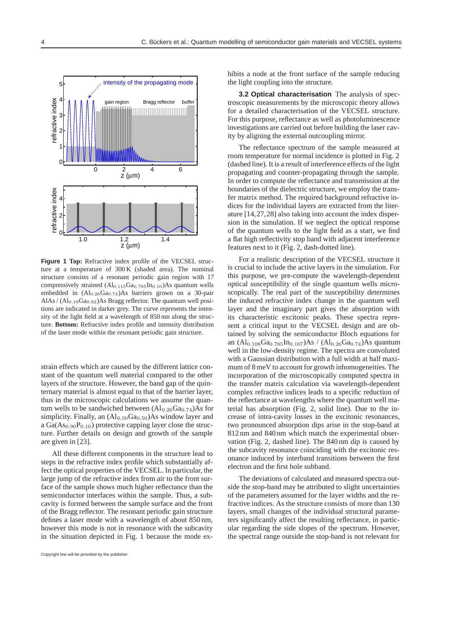

**Figure 1 Top:** Refractive index profile of the VECSEL structure at a temperature of 300 K (shaded area). The nominal structure consists of a resonant periodic gain region with 17 compressively strained (Al0*.*115Ga0*.*785In0*.*10)As quantum wells embedded in  $(Al_{0.26}Ga_{0.74})As$  barriers grown on a 30-pair AlAs / (Al<sub>0.18</sub>Ga<sub>0.82</sub>)As Bragg reflector. The quantum well positions are indicated in darker grey. The curve represents the intensity of the light field at a wavelength of 850 nm along the structure. **Bottom:** Refractive index profile and intensity distribution of the laser mode within the resonant periodic gain structure.

strain effects which are caused by the different lattice constant of the quantum well material compared to the other layers of the structure. However, the band gap of the quinternary material is almost equal to that of the barrier layer, thus in the microscopic calculations we assume the quantum wells to be sandwiched between  $(Al_{0.26}Ga_{0.74})As$  for simplicity. Finally, an  $(Al_{0.50}Ga_{0.50})As$  window layer and a  $Ga(As_{0.90}P_{0.10})$  protective capping layer close the structure. Further details on design and growth of the sample are given in [23].

All these different components in the structure lead to steps in the refractive index profile which substantially affect the optical properties of the VECSEL. In particular, the large jump of the refractive index from air to the front surface of the sample shows much higher reflectance than the semiconductor interfaces within the sample. Thus, a subcavity is formed between the sample surface and the front of the Bragg reflector. The resonant periodic gain structure defines a laser mode with a wavelength of about 850 nm, however this mode is not in resonance with the subcavity in the situation depicted in Fig. 1 because the mode exhibits a node at the front surface of the sample reducing the light coupling into the structure.

**3.2 Optical characterisation** The analysis of spectroscopic measurements by the microscopic theory allows for a detailed characterisation of the VECSEL structure. For this purpose, reflectance as well as photoluminescence investigations are carried out before building the laser cavity by aligning the external outcoupling mirror.

The reflectance spectrum of the sample measured at room temperature for normal incidence is plotted in Fig. 2 (dashed line). It is a result of interference effects of the light propagating and counter-propagating through the sample. In order to compute the reflectance and transmission at the boundaries of the dielectric structure, we employ the transfer matrix method. The required background refractive indices for the individual layers are extracted from the literature [14,27,28] also taking into account the index dispersion in the simulation. If we neglect the optical response of the quantum wells to the light field as a start, we find a flat high reflectivity stop band with adjacent interference features next to it (Fig. 2, dash-dotted line).

For a realistic description of the VECSEL structure it is crucial to include the active layers in the simulation. For this purpose, we pre-compute the wavelength-dependent optical susceptibility of the single quantum wells microscopically. The real part of the susceptibility determines the induced refractive index change in the quantum well layer and the imaginary part gives the absorption with its characteristic excitonic peaks. These spectra represent a critical input to the VECSEL design and are obtained by solving the semiconductor Bloch equations for an  $(Al_{0.108}Ga_{0.785}In_{0.107})As / (Al_{0.26}Ga_{0.74})As$  quantum well in the low-density regime. The spectra are convoluted with a Gaussian distribution with a full width at half maximum of 8 meV to account for growth inhomogeneities. The incorporation of the microscopically computed spectra in the transfer matrix calculation via wavelength-dependent complex refractive indices leads to a specific reduction of the reflectance at wavelengths where the quantum well material has absorption (Fig. 2, solid line). Due to the increase of intra-cavity losses in the excitonic resonances, two pronounced absorption dips arise in the stop-band at 812 nm and 840 nm which match the experimental observation (Fig. 2, dashed line). The 840 nm dip is caused by the subcavity resonance coinciding with the excitonic resonance induced by interband transitions between the first electron and the first hole subband.

The deviations of calculated and measured spectra outside the stop-band may be attributed to slight uncertainties of the parameters assumed for the layer widths and the refractive indices. As the structure consists of more than 130 layers, small changes of the individual structural parameters significantly affect the resulting reflectance, in particular regarding the side slopes of the spectrum. However, the spectral range outside the stop-band is not relevant for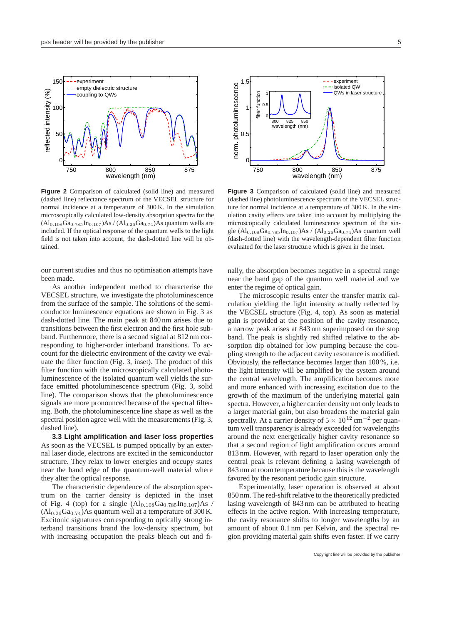

**Figure 2** Comparison of calculated (solid line) and measured (dashed line) reflectance spectrum of the VECSEL structure for normal incidence at a temperature of 300 K. In the simulation microscopically calculated low-density absorption spectra for the  $(Al_{0.108}Ga_{0.785}In_{0.107})As / (Al_{0.26}Ga_{0.74})As quantum wells are$ included. If the optical response of the quantum wells to the light field is not taken into account, the dash-dotted line will be obtained.

our current studies and thus no optimisation attempts have been made.

As another independent method to characterise the VECSEL structure, we investigate the photoluminescence from the surface of the sample. The solutions of the semiconductor luminescence equations are shown in Fig. 3 as dash-dotted line. The main peak at 840 nm arises due to transitions between the first electron and the first hole subband. Furthermore, there is a second signal at 812 nm corresponding to higher-order interband transitions. To account for the dielectric environment of the cavity we evaluate the filter function (Fig. 3, inset). The product of this filter function with the microscopically calculated photoluminescence of the isolated quantum well yields the surface emitted photoluminescence spectrum (Fig. 3, solid line). The comparison shows that the photoluminescence signals are more pronounced because of the spectral filtering. Both, the photoluminescence line shape as well as the spectral position agree well with the measurements (Fig. 3, dashed line).

**3.3 Light amplification and laser loss properties** As soon as the VECSEL is pumped optically by an external laser diode, electrons are excited in the semiconductor structure. They relax to lower energies and occupy states near the band edge of the quantum-well material where they alter the optical response.

The characteristic dependence of the absorption spectrum on the carrier density is depicted in the inset of Fig. 4 (top) for a single  $(Al_{0.108}Ga_{0.785}In_{0.107})As$  /  $(Al<sub>0.26</sub>Ga<sub>0.74</sub>)$ As quantum well at a temperature of 300 K. Excitonic signatures corresponding to optically strong interband transitions brand the low-density spectrum, but with increasing occupation the peaks bleach out and fi-



**Figure 3** Comparison of calculated (solid line) and measured (dashed line) photoluminescence spectrum of the VECSEL structure for normal incidence at a temperature of 300 K. In the simulation cavity effects are taken into account by multiplying the microscopically calculated luminescence spectrum of the single (Al0*.*108Ga0*.*785In0*.*107)As / (Al0*.*26Ga0*.*74)As quantum well (dash-dotted line) with the wavelength-dependent filter function evaluated for the laser structure which is given in the inset.

nally, the absorption becomes negative in a spectral range near the band gap of the quantum well material and we enter the regime of optical gain.

The microscopic results enter the transfer matrix calculation yielding the light intensity actually reflected by the VECSEL structure (Fig. 4, top). As soon as material gain is provided at the position of the cavity resonance, a narrow peak arises at 843 nm superimposed on the stop band. The peak is slightly red shifted relative to the absorption dip obtained for low pumping because the coupling strength to the adjacent cavity resonance is modified. Obviously, the reflectance becomes larger than 100 %, i.e. the light intensity will be amplified by the system around the central wavelength. The amplification becomes more and more enhanced with increasing excitation due to the growth of the maximum of the underlying material gain spectra. However, a higher carrier density not only leads to a larger material gain, but also broadens the material gain spectrally. At a carrier density of 5 × 10<sup>12</sup> cm<sup>−2</sup> per quantum well transparency is already exceeded for wavelengths around the next energetically higher cavity resonance so that a second region of light amplification occurs around 813 nm. However, with regard to laser operation only the central peak is relevant defining a lasing wavelength of 843 nm at room temperature because this is the wavelength favored by the resonant periodic gain structure.

Experimentally, laser operation is observed at about 850 nm. The red-shift relative to the theoretically predicted lasing wavelength of 843 nm can be attributed to heating effects in the active region. With increasing temperature, the cavity resonance shifts to longer wavelengths by an amount of about 0.1 nm per Kelvin, and the spectral region providing material gain shifts even faster. If we carry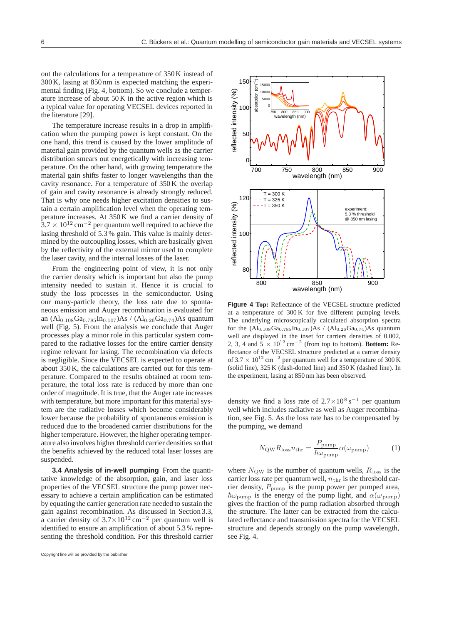out the calculations for a temperature of 350 K instead of 300 K, lasing at 850 nm is expected matching the experimental finding (Fig. 4, bottom). So we conclude a temperature increase of about 50 K in the active region which is a typical value for operating VECSEL devices reported in the literature [29].

The temperature increase results in a drop in amplification when the pumping power is kept constant. On the one hand, this trend is caused by the lower amplitude of material gain provided by the quantum wells as the carrier distribution smears out energetically with increasing temperature. On the other hand, with growing temperature the material gain shifts faster to longer wavelengths than the cavity resonance. For a temperature of 350 K the overlap of gain and cavity resonance is already strongly reduced. That is why one needs higher excitation densities to sustain a certain amplification level when the operating temperature increases. At 350 K we find a carrier density of 3.7 × 10<sup>12</sup> cm<sup>−2</sup> per quantum well required to achieve the lasing threshold of 5.3 % gain. This value is mainly determined by the outcoupling losses, which are basically given by the reflectivity of the external mirror used to complete the laser cavity, and the internal losses of the laser.

From the engineering point of view, it is not only the carrier density which is important but also the pump intensity needed to sustain it. Hence it is crucial to study the loss processes in the semiconductor. Using our many-particle theory, the loss rate due to spontaneous emission and Auger recombination is evaluated for an  $(A)_{0.108}Ga_{0.785}In_{0.107}As / (Al_{0.26}Ga_{0.74})As quantum$ well (Fig. 5). From the analysis we conclude that Auger processes play a minor role in this particular system compared to the radiative losses for the entire carrier density regime relevant for lasing. The recombination via defects is negligible. Since the VECSEL is expected to operate at about 350 K, the calculations are carried out for this temperature. Compared to the results obtained at room temperature, the total loss rate is reduced by more than one order of magnitude. It is true, that the Auger rate increases with temperature, but more important for this material system are the radiative losses which become considerably lower because the probability of spontaneous emission is reduced due to the broadened carrier distributions for the higher temperature. However, the higher operating temperature also involves higher threshold carrier densities so that the benefits achieved by the reduced total laser losses are suspended.

**3.4 Analysis of in-well pumping** From the quantitative knowledge of the absorption, gain, and laser loss properties of the VECSEL structure the pump power necessary to achieve a certain amplification can be estimated by equating the carrier generation rate needed to sustain the gain against recombination. As discussed in Section 3.3, a carrier density of 3.7×10<sup>12</sup> cm<sup>−2</sup> per quantum well is identified to ensure an amplification of about 5.3 % representing the threshold condition. For this threshold carrier



**Figure 4 Top:** Reflectance of the VECSEL structure predicted at a temperature of 300 K for five different pumping levels. The underlying microscopically calculated absorption spectra for the  $(Al_{0.108}Ga_{0.785}In_{0.107})As / (Al_{0.26}Ga_{0.74})As quantum$ well are displayed in the inset for carriers densities of 0.002, 2, 3, 4 and  $\overline{5} \times 10^{12}$  cm<sup>-2</sup> (from top to bottom). **Bottom:** Reflectance of the VECSEL structure predicted at a carrier density of  $3.7 \times 10^{12}$  cm<sup>-2</sup> per quantum well for a temperature of 300 K (solid line), 325 K (dash-dotted line) and 350 K (dashed line). In the experiment, lasing at 850 nm has been observed.

density we find a loss rate of 2.7×10<sup>8</sup> s*<sup>−</sup>*<sup>1</sup> per quantum well which includes radiative as well as Auger recombination, see Fig. 5. As the loss rate has to be compensated by the pumping, we demand

$$
N_{\rm QW} R_{\rm loss} n_{\rm thr} = \frac{P_{\rm pump}}{\hbar \omega_{\rm pump}} \alpha(\omega_{\rm pump}) \tag{1}
$$

where  $N_{\text{QW}}$  is the number of quantum wells,  $R_{\text{loss}}$  is the carrier loss rate per quantum well,  $n_{\text{thr}}$  is the threshold carrier density,  $P_{\text{pump}}$  is the pump power per pumped area,  $\hbar\omega_{\text{pump}}$  is the energy of the pump light, and  $\alpha(\omega_{\text{pump}})$ gives the fraction of the pump radiation absorbed through the structure. The latter can be extracted from the calculated reflectance and transmission spectra for the VECSEL structure and depends strongly on the pump wavelength, see Fig. 4.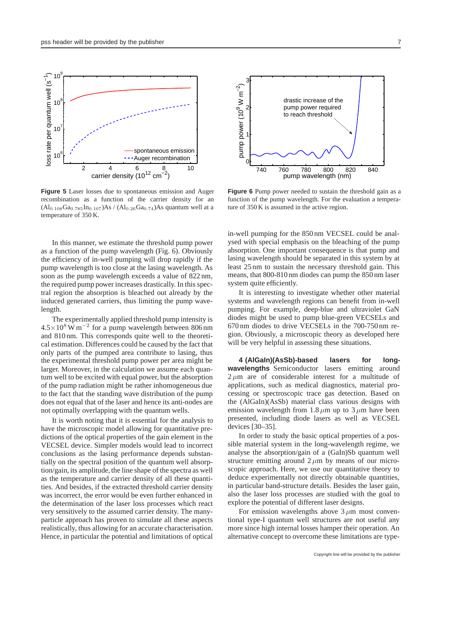

**Figure 5** Laser losses due to spontaneous emission and Auger recombination as a function of the carrier density for an  $(Al_{0.108}Ga_{0.785}In_{0.107})As / (Al_{0.26}Ga_{0.74})As quantum well at a$ temperature of 350 K.

In this manner, we estimate the threshold pump power as a function of the pump wavelength (Fig. 6). Obviously the efficiency of in-well pumping will drop rapidly if the pump wavelength is too close at the lasing wavelength. As soon as the pump wavelength exceeds a value of 822 nm, the required pump power increases drastically. In this spectral region the absorption is bleached out already by the induced generated carriers, thus limiting the pump wavelength.

The experimentally applied threshold pump intensity is 4.5×10<sup>8</sup> W m*<sup>−</sup>*<sup>2</sup> for a pump wavelength between 806 nm and 810 nm. This corresponds quite well to the theoretical estimation. Differences could be caused by the fact that only parts of the pumped area contribute to lasing, thus the experimental threshold pump power per area might be larger. Moreover, in the calculation we assume each quantum well to be excited with equal power, but the absorption of the pump radiation might be rather inhomogeneous due to the fact that the standing wave distribution of the pump does not equal that of the laser and hence its anti-nodes are not optimally overlapping with the quantum wells.

It is worth noting that it is essential for the analysis to have the microscopic model allowing for quantitative predictions of the optical properties of the gain element in the VECSEL device. Simpler models would lead to incorrect conclusions as the lasing performance depends substantially on the spectral position of the quantum well absorption/gain, its amplitude, the line shape of the spectra as well as the temperature and carrier density of all these quantities. And besides, if the extracted threshold carrier density was incorrect, the error would be even further enhanced in the determination of the laser loss processes which react very sensitively to the assumed carrier density. The manyparticle approach has proven to simulate all these aspects realistically, thus allowing for an accurate characterisation. Hence, in particular the potential and limitations of optical



**Figure 6** Pump power needed to sustain the threshold gain as a function of the pump wavelength. For the evaluation a temperature of 350 K is assumed in the active region.

in-well pumping for the 850 nm VECSEL could be analysed with special emphasis on the bleaching of the pump absorption. One important consequence is that pump and lasing wavelength should be separated in this system by at least 25 nm to sustain the necessary threshold gain. This means, that 800-810 nm diodes can pump the 850 nm laser system quite efficiently.

It is interesting to investigate whether other material systems and wavelength regions can benefit from in-well pumping. For example, deep-blue and ultraviolet GaN diodes might be used to pump blue-green VECSELs and 670 nm diodes to drive VECSELs in the 700-750 nm region. Obviously, a microscopic theory as developed here will be very helpful in assessing these situations.

**4 (AlGaIn)(AsSb)-based lasers for longwavelengths** Semiconductor lasers emitting around  $2 \mu m$  are of considerable interest for a multitude of applications, such as medical diagnostics, material processing or spectroscopic trace gas detection. Based on the (AlGaIn)(AsSb) material class various designs with emission wavelength from 1.8  $\mu$ m up to 3  $\mu$ m have been presented, including diode lasers as well as VECSEL devices [30–35].

In order to study the basic optical properties of a possible material system in the long-wavelength regime, we analyse the absorption/gain of a (GaIn)Sb quantum well structure emitting around  $2 \mu m$  by means of our microscopic approach. Here, we use our quantitative theory to deduce experimentally not directly obtainable quantities, in particular band-structure details. Besides the laser gain, also the laser loss processes are studied with the goal to explore the potential of different laser designs.

For emission wavelengths above  $3 \mu m$  most conventional type-I quantum well structures are not useful any more since high internal losses hamper their operation. An alternative concept to overcome these limitations are type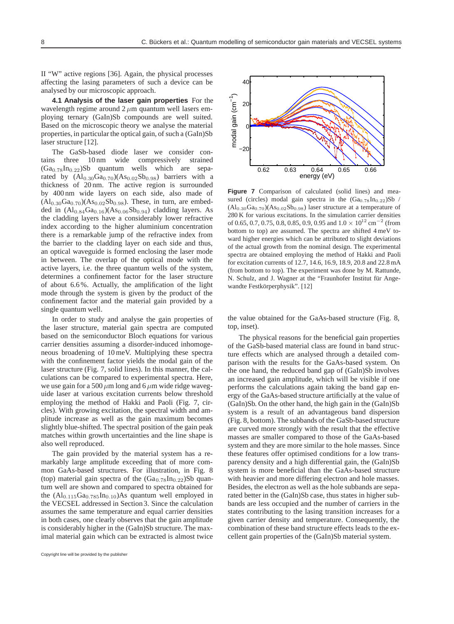II "W" active regions [36]. Again, the physical processes affecting the lasing parameters of such a device can be analysed by our microscopic approach.

**4.1 Analysis of the laser gain properties** For the wavelength regime around  $2 \mu m$  quantum well lasers employing ternary (GaIn)Sb compounds are well suited. Based on the microscopic theory we analyse the material properties, in particular the optical gain, of such a (GaIn)Sb laser structure [12].

The GaSb-based diode laser we consider contains three 10 nm wide compressively strained  $(Ga<sub>0.78</sub>In<sub>0.22</sub>)Sb$  quantum wells which are separated by  $(Al_{0.30}Ga_{0.70})(As_{0.02}Sb_{0.98})$  barriers with a thickness of 20 nm. The active region is surrounded by 400 nm wide layers on each side, also made of  $(Al_{0.30}Ga_{0.70})(As_{0.02}Sb_{0.98})$ . These, in turn, are embedded in  $(Al_{0.84}Ga_{0.16})(As_{0.06}Sb_{0.94})$  cladding layers. As the cladding layers have a considerably lower refractive index according to the higher aluminium concentration there is a remarkable jump of the refractive index from the barrier to the cladding layer on each side and thus, an optical waveguide is formed enclosing the laser mode in between. The overlap of the optical mode with the active layers, i.e. the three quantum wells of the system, determines a confinement factor for the laser structure of about 6.6 %. Actually, the amplification of the light mode through the system is given by the product of the confinement factor and the material gain provided by a single quantum well.

In order to study and analyse the gain properties of the laser structure, material gain spectra are computed based on the semiconductor Bloch equations for various carrier densities assuming a disorder-induced inhomogeneous broadening of 10 meV. Multiplying these spectra with the confinement factor yields the modal gain of the laser structure (Fig. 7, solid lines). In this manner, the calculations can be compared to experimental spectra. Here, we use gain for a 500  $\mu$ m long and 6  $\mu$ m wide ridge waveguide laser at various excitation currents below threshold employing the method of Hakki and Paoli (Fig. 7, circles). With growing excitation, the spectral width and amplitude increase as well as the gain maximum becomes slightly blue-shifted. The spectral position of the gain peak matches within growth uncertainties and the line shape is also well reproduced.

The gain provided by the material system has a remarkably large amplitude exceeding that of more common GaAs-based structures. For illustration, in Fig. 8 (top) material gain spectra of the  $(Ga<sub>0.78</sub>In<sub>0.22</sub>)Sb$  quantum well are shown and compared to spectra obtained for the  $\text{(Al}_{0.115}\text{Ga}_{0.785}\text{In}_{0.10})\text{As quantum well employed in}$ the VECSEL addressed in Section 3. Since the calculation assumes the same temperature and equal carrier densities in both cases, one clearly observes that the gain amplitude is considerably higher in the (GaIn)Sb structure. The maximal material gain which can be extracted is almost twice



Figure 7 Comparison of calculated (solid lines) and measured (circles) modal gain spectra in the  $(Ga_{0.78}In_{0.22})Sb$  $(Al_{0.30}Ga_{0.70})(As_{0.02}Sb_{0.98})$  laser structure at a temperature of 280 K for various excitations. In the simulation carrier densities of 0.65, 0.7, 0.75, 0.8, 0.85, 0.9, 0.95 and 1.0 *<sup>×</sup>* <sup>10</sup><sup>12</sup> cm−<sup>2</sup> (from bottom to top) are assumed. The spectra are shifted 4 meV toward higher energies which can be attributed to slight deviations of the actual growth from the nominal design. The experimental spectra are obtained employing the method of Hakki and Paoli for excitation currents of 12.7, 14.6, 16.9, 18.9, 20.8 and 22.8 mA (from bottom to top). The experiment was done by M. Rattunde, N. Schulz, and J. Wagner at the "Fraunhofer Institut für Angewandte Festkörperphysik". [12]

the value obtained for the GaAs-based structure (Fig. 8, top, inset).

The physical reasons for the beneficial gain properties of the GaSb-based material class are found in band structure effects which are analysed through a detailed comparison with the results for the GaAs-based system. On the one hand, the reduced band gap of (GaIn)Sb involves an increased gain amplitude, which will be visible if one performs the calculations again taking the band gap energy of the GaAs-based structure artificially at the value of (GaIn)Sb. On the other hand, the high gain in the (GaIn)Sb system is a result of an advantageous band dispersion (Fig. 8, bottom). The subbands of the GaSb-based structure are curved more strongly with the result that the effective masses are smaller compared to those of the GaAs-based system and they are more similar to the hole masses. Since these features offer optimised conditions for a low transparency density and a high differential gain, the (GaIn)Sb system is more beneficial than the GaAs-based structure with heavier and more differing electron and hole masses. Besides, the electron as well as the hole subbands are separated better in the (GaIn)Sb case, thus states in higher subbands are less occupied and the number of carriers in the states contributing to the lasing transition increases for a given carrier density and temperature. Consequently, the combination of these band structure effects leads to the excellent gain properties of the (GaIn)Sb material system.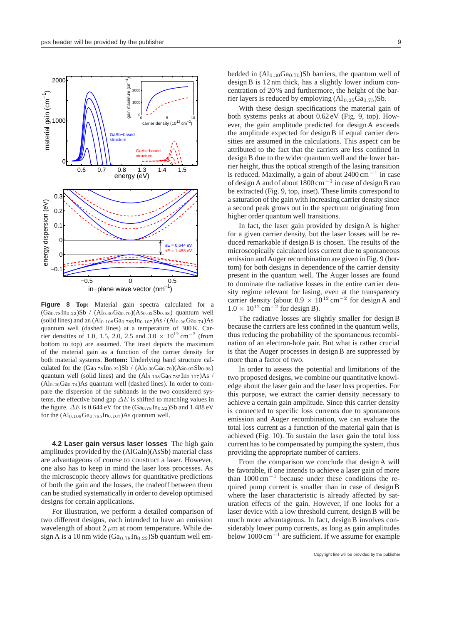

**Figure 8 Top:** Material gain spectra calculated for a  $(Ga_{0.78}In_{0.22})Sb / (Al_{0.30}Ga_{0.70})(As_{0.02}Sb_{0.98})$  quantum well (solid lines) and an (Al0*.*108Ga0*.*785In0*.*107)As / (Al0*.*26Ga0*.*74)As quantum well (dashed lines) at a temperature of 300 K. Carrier densities of 1.0, 1.5, 2.0, 2.5 and  $3.0 \times 10^{12}$  cm<sup>-2</sup> (from bottom to top) are assumed. The inset depicts the maximum of the material gain as a function of the carrier density for both material systems. **Bottom:** Underlying band structure calculated for the  $(Ga_{0.78}In_{0.22})Sb / (Al_{0.30}Ga_{0.70})(As_{0.02}Sb_{0.98})$ quantum well (solid lines) and the  $(Al_{0.108}Ga_{0.785}In_{0.107})As$ (Al0*.*26Ga0*.*74)As quantum well (dashed lines). In order to compare the dispersion of the subbands in the two considered systems, the effective band gap  $\Delta E$  is shifted to matching values in the figure.  $\Delta E$  is 0.644 eV for the  $(Ga_{0.78}In_{0.22})Sb$  and 1.488 eV for the  $(Al_{0.108}Ga_{0.785}In_{0.107})As$  quantum well.

**4.2 Laser gain versus laser losses** The high gain amplitudes provided by the (AlGaIn)(AsSb) material class are advantageous of course to construct a laser. However, one also has to keep in mind the laser loss processes. As the microscopic theory allows for quantitative predictions of both the gain and the losses, the tradeoff between them can be studied systematically in order to develop optimised designs for certain applications.

For illustration, we perform a detailed comparison of two different designs, each intended to have an emission wavelength of about  $2 \mu m$  at room temperature. While design A is a 10 nm wide  $(Ga_{0.78}In_{0.22})Sb$  quantum well embedded in  $(Al_{0.30}Ga_{0.70})Sb$  barriers, the quantum well of design B is 12 nm thick, has a slightly lower indium concentration of 20 % and furthermore, the height of the barrier layers is reduced by employing  $(Al_{0.25}Ga<sub>0.75</sub>)Sb$ .

With these design specifications the material gain of both systems peaks at about 0.62 eV (Fig. 9, top). However, the gain amplitude predicted for design A exceeds the amplitude expected for design B if equal carrier densities are assumed in the calculations. This aspect can be attributed to the fact that the carriers are less confined in design B due to the wider quantum well and the lower barrier height, thus the optical strength of the lasing transition is reduced. Maximally, a gain of about 2400 cm *<sup>−</sup>*<sup>1</sup> in case of design A and of about 1800 cm*−*<sup>1</sup> in case of design B can be extracted (Fig. 9, top, inset). These limits correspond to a saturation of the gain with increasing carrier density since a second peak grows out in the spectrum originating from higher order quantum well transitions.

In fact, the laser gain provided by design A is higher for a given carrier density, but the laser losses will be reduced remarkable if design B is chosen. The results of the microscopically calculated loss current due to spontaneous emission and Auger recombination are given in Fig. 9 (bottom) for both designs in dependence of the carrier density present in the quantum well. The Auger losses are found to dominate the radiative losses in the entire carrier density regime relevant for lasing, even at the transparency carrier density (about 0.9 × 10<sup>12</sup> cm*<sup>−</sup>*<sup>2</sup> for design A and  $1.0 \times 10^{12}$  cm<sup>−2</sup> for design B).

The radiative losses are slightly smaller for design B because the carriers are less confined in the quantum wells, thus reducing the probability of the spontaneous recombination of an electron-hole pair. But what is rather crucial is that the Auger processes in design B are suppressed by more than a factor of two.

In order to assess the potential and limitations of the two proposed designs, we combine our quantitative knowledge about the laser gain and the laser loss properties. For this purpose, we extract the carrier density necessary to achieve a certain gain amplitude. Since this carrier density is connected to specific loss currents due to spontaneous emission and Auger recombination, we can evaluate the total loss current as a function of the material gain that is achieved (Fig. 10). To sustain the laser gain the total loss current has to be compensated by pumping the system, thus providing the appropriate number of carriers.

From the comparison we conclude that design A will be favorable, if one intends to achieve a laser gain of more than 1000 cm*<sup>−</sup>*1 because under these conditions the required pump current is smaller than in case of design B where the laser characteristic is already affected by saturation effects of the gain. However, if one looks for a laser device with a low threshold current, design B will be much more advantageous. In fact, design B involves considerably lower pump currents, as long as gain amplitudes below 1000 cm*<sup>−</sup>*<sup>1</sup> are sufficient. If we assume for example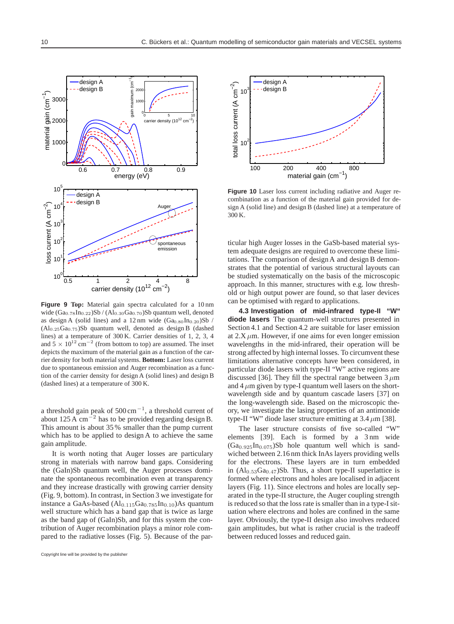

**Figure 9 Top:** Material gain spectra calculated for a 10 nm wide (Ga<sub>0.78</sub>In<sub>0.22</sub>)Sb / (Al<sub>0.30</sub>Ga<sub>0.70</sub>)Sb quantum well, denoted as design A (solid lines) and a 12 nm wide  $(Ga_{0.80}In_{0.20})Sb$ (Al0*.*25Ga0*.*75)Sb quantum well, denoted as design B (dashed lines) at a temperature of 300 K. Carrier densities of 1, 2, 3, 4 and  $5 \times 10^{12}$  cm<sup>-2</sup> (from bottom to top) are assumed. The inset depicts the maximum of the material gain as a function of the carrier density for both material systems. **Bottom:** Laser loss current due to spontaneous emission and Auger recombination as a function of the carrier density for design A (solid lines) and design B (dashed lines) at a temperature of 300 K.

a threshold gain peak of 500 cm*<sup>−</sup>*1, a threshold current of about 125 A cm*<sup>−</sup>*<sup>2</sup> has to be provided regarding design B. This amount is about 35 % smaller than the pump current which has to be applied to design A to achieve the same gain amplitude.

It is worth noting that Auger losses are particulary strong in materials with narrow band gaps. Considering the (GaIn)Sb quantum well, the Auger processes dominate the spontaneous recombination even at transparency and they increase drastically with growing carrier density (Fig. 9, bottom). In contrast, in Section 3 we investigate for instance a GaAs-based  $(Al_{0.115}Ga_{0.785}In_{0.10})As$  quantum well structure which has a band gap that is twice as large as the band gap of (GaIn)Sb, and for this system the contribution of Auger recombination plays a minor role compared to the radiative losses (Fig. 5). Because of the par-



**Figure 10** Laser loss current including radiative and Auger recombination as a function of the material gain provided for design A (solid line) and design B (dashed line) at a temperature of 300 K.

ticular high Auger losses in the GaSb-based material system adequate designs are required to overcome these limitations. The comparison of design A and design B demonstrates that the potential of various structural layouts can be studied systematically on the basis of the microscopic approach. In this manner, structures with e.g. low threshold or high output power are found, so that laser devices can be optimised with regard to applications.

**4.3 Investigation of mid-infrared type-II "W" diode lasers** The quantum-well structures presented in Section 4.1 and Section 4.2 are suitable for laser emission at  $2.X \mu m$ . However, if one aims for even longer emission wavelengths in the mid-infrared, their operation will be strong affected by high internal losses. To circumvent these limitations alternative concepts have been considered, in particular diode lasers with type-II "W" active regions are discussed [36]. They fill the spectral range between  $3 \mu m$ and  $4 \mu$ m given by type-I quantum well lasers on the shortwavelength side and by quantum cascade lasers [37] on the long-wavelength side. Based on the microscopic theory, we investigate the lasing properties of an antimonide type-II "W" diode laser structure emitting at  $3.4 \mu$ m [38].

The laser structure consists of five so-called "W" elements [39]. Each is formed by a 3 nm wide  $(Ga<sub>0.925</sub>In<sub>0.075</sub>)Sb$  hole quantum well which is sandwiched between 2.16 nm thick InAs layers providing wells for the electrons. These layers are in turn embedded in  $(Al_{0.53}Ga<sub>0.47</sub>)Sb$ . Thus, a short type-II superlattice is formed where electrons and holes are localised in adjacent layers (Fig. 11). Since electrons and holes are locally separated in the type-II structure, the Auger coupling strength is reduced so that the loss rate is smaller than in a type-I situation where electrons and holes are confined in the same layer. Obviously, the type-II design also involves reduced gain amplitudes, but what is rather crucial is the tradeoff between reduced losses and reduced gain.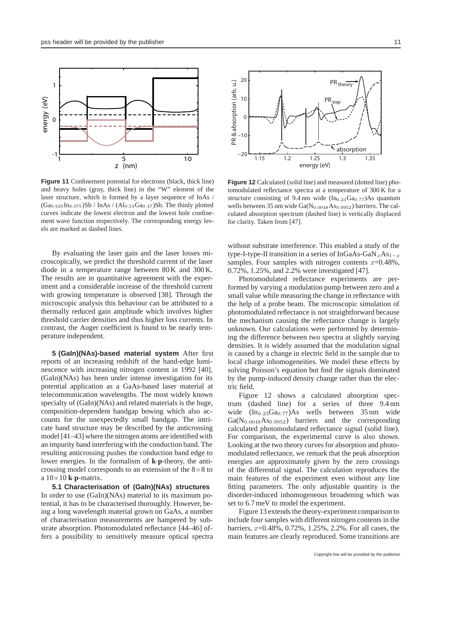

**Figure 11** Confinement potential for electrons (black, thick line) and heavy holes (gray, thick line) in the "W" element of the laser structure, which is formed by a layer sequence of InAs /  $(Ga_{0.925}In_{0.075})Sb / InAs / (Al_{0.53}Ga_{0.47})Sb$ . The thinly plotted curves indicate the lowest electron and the lowest hole confinement wave function respectively. The corresponding energy levels are marked as dashed lines.

By evaluating the laser gain and the laser losses microscopically, we predict the threshold current of the laser diode in a temperature range between 80 K and 300 K. The results are in quantitative agreement with the experiment and a considerable increase of the threshold current with growing temperature is observed [38]. Through the microscopic analysis this behaviour can be attributed to a thermally reduced gain amplitude which involves higher threshold carrier densities and thus higher loss currents. In contrast, the Auger coefficient is found to be nearly temperature independent.

**5 (GaIn)(NAs)-based material system** After first reports of an increasing redshift of the band-edge luminescence with increasing nitrogen content in 1992 [40], (GaIn)(NAs) has been under intense investigation for its potential application as a GaAs-based laser material at telecommunication wavelengths. The most widely known specialty of  $(GaIn)(NAs)$  and related materials is the huge, composition-dependent bandgap bowing which also accounts for the unexpectedly small bandgap. The intricate band structure may be described by the anticrossing model [41–43] where the nitrogen atoms are identified with an impurity band interfering with the conduction band. The resulting anticrossing pushes the conduction band edge to lower energies. In the formalism of **k**·**p**-theory, the anticrossing model corresponds to an extension of the  $8\times 8$  to a  $10 \times 10$  **k** $\cdot$ **p**-matrix.

**5.1 Characterisation of (GaIn)(NAs) structures** In order to use (GaIn)(NAs) material to its maximum potential, it has to be characterised thoroughly. However, being a long wavelength material grown on GaAs, a number of characterisation measurements are hampered by substrate absorption. Photomodulated reflectance [44–46] offers a possibility to sensitively measure optical spectra



**Figure 12** Calculated (solid line) and measured (dotted line) photomodulated reflectance spectra at a temperature of 300 K for a structure consisting of 9.4 nm wide (In<sub>0.23</sub>Ga<sub>0.77</sub>)As quantum wells between 35 nm wide Ga(N<sub>0.0048</sub>As<sub>0.9952</sub>) barriers. The calculated absorption spectrum (dashed line) is vertically displaced for clarity. Taken from [47].

without substrate interference. This enabled a study of the type-I-type-II transition in a series of InGaAs-GaN<sub>x</sub>As<sub>1−x</sub> samples. Four samples with nitrogen contents  $x=0.48\%$ , 0.72%, 1.25%, and 2.2% were investigated [47].

Photomodulated reflectance experiments are performed by varying a modulation pump between zero and a small value while measuring the change in reflectance with the help of a probe beam. The microscopic simulation of photomodulated reflectance is not straightforward because the mechanism causing the reflectance change is largely unknown. Our calculations were performed by determining the difference between two spectra at slightly varying densities. It is widely assumed that the modulation signal is caused by a change in electric field in the sample due to local charge inhomogeneities. We model these effects by solving Poisson's equation but find the signals dominated by the pump-induced density change rather than the electric field.

Figure 12 shows a calculated absorption spectrum (dashed line) for a series of three 9.4 nm wide  $(In_{0.23}Ga_{0.77})As$  wells between 35 nm wide  $Ga(N_{0.0048}As_{0.9952})$  barriers and the corresponding calculated photomodulated reflectance signal (solid line). For comparison, the experimental curve is also shown. Looking at the two theory curves for absorption and photomodulated reflectance, we remark that the peak absorption energies are approximately given by the zero crossings of the differential signal. The calculation reproduces the main features of the experiment even without any line fitting parameters. The only adjustable quantity is the disorder-induced inhomogeneous broadening which was set to 6.7 meV to model the experiment.

Figure 13 extends the theory-experiment comparison to include four samples with different nitrogen contents in the barriers,  $x=0.48\%$ ,  $0.72\%$ ,  $1.25\%$ ,  $2.2\%$ . For all cases, the main features are clearly reproduced. Some transitions are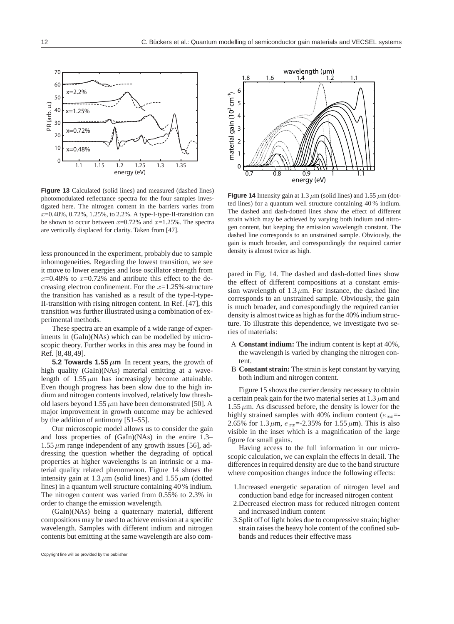

**Figure 13** Calculated (solid lines) and measured (dashed lines) photomodulated reflectance spectra for the four samples investigated here. The nitrogen content in the barriers varies from  $x=0.48\%$ , 0.72%, 1.25%, to 2.2%. A type-I-type-II-transition can be shown to occur between  $x=0.72\%$  and  $x=1.25\%$ . The spectra are vertically displaced for clarity. Taken from [47].

less pronounced in the experiment, probably due to sample inhomogeneities. Regarding the lowest transition, we see it move to lower energies and lose oscillator strength from  $x=0.48\%$  to  $x=0.72\%$  and attribute this effect to the decreasing electron confinement. For the  $x=1.25%$ -structure the transition has vanished as a result of the type-I-type-II-transition with rising nitrogen content. In Ref. [47], this transition was further illustrated using a combination of experimental methods.

These spectra are an example of a wide range of experiments in (GaIn)(NAs) which can be modelled by microscopic theory. Further works in this area may be found in Ref. [8,48,49].

**5.2 Towards 1.55**  $\mu$ **m** In recent years, the growth of high quality (GaIn)(NAs) material emitting at a wavelength of  $1.55 \mu m$  has increasingly become attainable. Even though progress has been slow due to the high indium and nitrogen contents involved, relatively low threshold lasers beyond 1.55  $\mu$ m have been demonstrated [50]. A major improvement in growth outcome may be achieved by the addition of antimony [51–55].

Our microscopic model allows us to consider the gain and loss properties of (GaIn)(NAs) in the entire 1.3–  $1.55 \mu m$  range independent of any growth issues [56], addressing the question whether the degrading of optical properties at higher wavelengths is an intrinsic or a material quality related phenomenon. Figure 14 shows the intensity gain at  $1.3 \mu$ m (solid lines) and  $1.55 \mu$ m (dotted lines) in a quantum well structure containing 40 % indium. The nitrogen content was varied from 0.55% to 2.3% in order to change the emission wavelength.

(GaIn)(NAs) being a quaternary material, different compositions may be used to achieve emission at a specific wavelength. Samples with different indium and nitrogen contents but emitting at the same wavelength are also com-



**Figure 14** Intensity gain at 1.3  $\mu$ m (solid lines) and 1.55  $\mu$ m (dotted lines) for a quantum well structure containing 40 % indium. The dashed and dash-dotted lines show the effect of different strain which may be achieved by varying both indium and nitrogen content, but keeping the emission wavelength constant. The dashed line corresponds to an unstrained sample. Obviously, the gain is much broader, and correspondingly the required carrier density is almost twice as high.

pared in Fig. 14. The dashed and dash-dotted lines show the effect of different compositions at a constant emission wavelength of  $1.3 \mu$ m. For instance, the dashed line corresponds to an unstrained sample. Obviously, the gain is much broader, and correspondingly the required carrier density is almost twice as high as for the 40% indium structure. To illustrate this dependence, we investigate two series of materials:

- A **Constant indium:** The indium content is kept at 40%, the wavelength is varied by changing the nitrogen content.
- B **Constant strain:** The strain is kept constant by varying both indium and nitrogen content.

Figure 15 shows the carrier density necessary to obtain a certain peak gain for the two material series at  $1.3 \mu$ m and  $1.55 \mu$ m. As discussed before, the density is lower for the highly strained samples with 40% indium content ( $e_{xx}$ =-2.65% for 1.3  $\mu$ m,  $e_{xx}$ =-2.35% for 1.55  $\mu$ m). This is also visible in the inset which is a magnification of the large figure for small gains.

Having access to the full information in our microscopic calculation, we can explain the effects in detail. The differences in required density are due to the band structure where composition changes induce the following effects:

- 1.Increased energetic separation of nitrogen level and conduction band edge for increased nitrogen content
- 2.Decreased electron mass for reduced nitrogen content and increased indium content
- 3.Split off of light holes due to compressive strain; higher strain raises the heavy hole content of the confined subbands and reduces their effective mass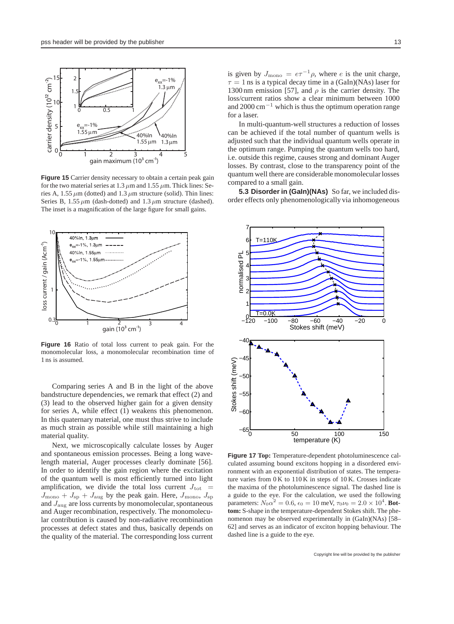

**Figure 15** Carrier density necessary to obtain a certain peak gain for the two material series at 1.3  $\mu$ m and 1.55  $\mu$ m. Thick lines: Series A, 1.55  $\mu$ m (dotted) and 1.3  $\mu$ m structure (solid). Thin lines: Series B, 1.55  $\mu$ m (dash-dotted) and 1.3  $\mu$ m structure (dashed). The inset is a magnification of the large figure for small gains.



**Figure 16** Ratio of total loss current to peak gain. For the monomolecular loss, a monomolecular recombination time of 1 ns is assumed.

Comparing series A and B in the light of the above bandstructure dependencies, we remark that effect (2) and (3) lead to the observed higher gain for a given density for series A, while effect (1) weakens this phenomenon. In this quaternary material, one must thus strive to include as much strain as possible while still maintaining a high material quality.

Next, we microscopically calculate losses by Auger and spontaneous emission processes. Being a long wavelength material, Auger processes clearly dominate [56]. In order to identify the gain region where the excitation of the quantum well is most efficiently turned into light amplification, we divide the total loss current  $J_{\text{tot}}$  =  $J_{\text{mono}} + J_{\text{sp}} + J_{\text{aug}}$  by the peak gain. Here,  $J_{\text{mono}}$ ,  $J_{\text{sp}}$ and  $J_{\text{aug}}$  are loss currents by monomolecular, spontaneous and Auger recombination, respectively. The monomolecular contribution is caused by non-radiative recombination processes at defect states and thus, basically depends on the quality of the material. The corresponding loss current

is given by  $J_{\text{mono}} = e\tau^{-1}\rho$ , where *e* is the unit charge,  $\tau = 1$  ns is a typical decay time in a (GaIn)(NAs) laser for 1300 nm emission [57], and  $\rho$  is the carrier density. The loss/current ratios show a clear minimum between 1000 and 2000 cm*−*<sup>1</sup> which is thus the optimum operation range for a laser.

In multi-quantum-well structures a reduction of losses can be achieved if the total number of quantum wells is adjusted such that the individual quantum wells operate in the optimum range. Pumping the quantum wells too hard, i.e. outside this regime, causes strong and dominant Auger losses. By contrast, close to the transparency point of the quantum well there are considerable monomolecular losses compared to a small gain.

**5.3 Disorder in (GaIn)(NAs)** So far, we included disorder effects only phenomenologically via inhomogeneous



**Figure 17 Top:** Temperature-dependent photoluminescence calculated assuming bound excitons hopping in a disordered environment with an exponential distribution of states. The temperature varies from 0 K to 110 K in steps of 10 K. Crosses indicate the maxima of the photoluminescence signal. The dashed line is a guide to the eye. For the calculation, we used the following parameters:  $N_0 \alpha^2 = 0.6$ ,  $\epsilon_0 = 10$  meV,  $\tau_0 \nu_0 = 2.0 \times 10^4$ . **Bottom:** S-shape in the temperature-dependent Stokes shift. The phenomenon may be observed experimentally in (GaIn)(NAs) [58– 62] and serves as an indicator of exciton hopping behaviour. The dashed line is a guide to the eye.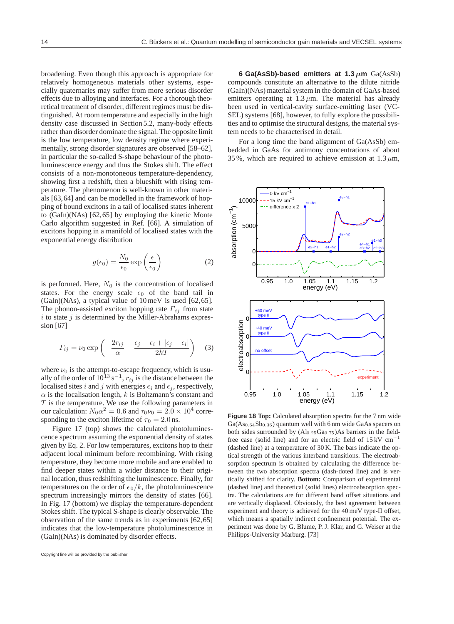broadening. Even though this approach is appropriate for relatively homogeneous materials other systems, especially quaternaries may suffer from more serious disorder effects due to alloying and interfaces. For a thorough theoretical treatment of disorder, different regimes must be distinguished. At room temperature and especially in the high density case discussed in Section 5.2, many-body effects rather than disorder dominate the signal. The opposite limit is the low temperature, low density regime where experimentally, strong disorder signatures are observed [58–62], in particular the so-called S-shape behaviour of the photoluminescence energy and thus the Stokes shift. The effect consists of a non-monotoneous temperature-dependency, showing first a redshift, then a blueshift with rising temperature. The phenomenon is well-known in other materials [63,64] and can be modelled in the framework of hopping of bound excitons in a tail of localised states inherent to (GaIn)(NAs) [62,65] by employing the kinetic Monte Carlo algorithm suggested in Ref. [66]. A simulation of excitons hopping in a manifold of localised states with the exponential energy distribution

$$
g(\epsilon_0) = \frac{N_0}{\epsilon_0} \exp\left(\frac{\epsilon}{\epsilon_0}\right) \tag{2}
$$

is performed. Here,  $N_0$  is the concentration of localised states. For the energy scale  $\epsilon_0$  of the band tail in  $(GaIn)(NAs)$ , a typical value of 10 meV is used [62,65]. The phonon-assisted exciton hopping rate  $\Gamma_{ij}$  from state  $i$  to state  $j$  is determined by the Miller-Abrahams expression [67]

$$
\Gamma_{ij} = \nu_0 \exp\left(-\frac{2r_{ij}}{\alpha} - \frac{\epsilon_j - \epsilon_i + |\epsilon_j - \epsilon_i|}{2kT}\right) \tag{3}
$$

where  $\nu_0$  is the attempt-to-escape frequency, which is usually of the order of  $10^{13}$  s<sup>−1</sup>,  $r_{ij}$  is the distance between the localised sites i and j with energies  $\epsilon_i$  and  $\epsilon_j$ , respectively,  $\alpha$  is the localisation length, k is Boltzmann's constant and  $T$  is the temperature. We use the following parameters in our calculation:  $N_0 \alpha^2 = 0.6$  and  $\tau_0 \nu_0 = 2.0 \times 10^4$  corresponding to the exciton lifetime of  $\tau_0 = 2.0$  ns.

Figure 17 (top) shows the calculated photoluminescence spectrum assuming the exponential density of states given by Eq. 2. For low temperatures, excitons hop to their adjacent local minimum before recombining. With rising temperature, they become more mobile and are enabled to find deeper states within a wider distance to their original location, thus redshifting the luminescence. Finally, for temperatures on the order of  $\epsilon_0/k$ , the photoluminescence spectrum increasingly mirrors the density of states [66]. In Fig. 17 (bottom) we display the temperature-dependent Stokes shift. The typical S-shape is clearly observable. The observation of the same trends as in experiments [62,65] indicates that the low-temperature photoluminescence in (GaIn)(NAs) is dominated by disorder effects.

**6 Ga(AsSb)-based emitters at 1.3** *µ***m** Ga(AsSb) compounds constitute an alternative to the dilute nitride (GaIn)(NAs) material system in the domain of GaAs-based emitters operating at  $1.3 \mu$ m. The material has already been used in vertical-cavity surface-emitting laser (VC-SEL) systems [68], however, to fully explore the possibilities and to optimise the structural designs, the material system needs to be characterised in detail.

For a long time the band alignment of Ga(AsSb) embedded in GaAs for antimony concentrations of about 35%, which are required to achieve emission at  $1.3 \mu m$ ,



**Figure 18 Top:** Calculated absorption spectra for the 7 nm wide Ga(As<sub>0.64</sub>Sb<sub>0.36</sub>) quantum well with 6 nm wide GaAs spacers on both sides surrounded by  $(Al_{0.25}Ga_{0.75})As$  barriers in the fieldfree case (solid line) and for an electric field of  $15 \text{ kV cm}^{-1}$ (dashed line) at a temperature of 30 K. The bars indicate the optical strength of the various interband transitions. The electroabsorption spectrum is obtained by calculating the difference between the two absorption spectra (dash-doted line) and is vertically shifted for clarity. **Bottom:** Comparison of experimental (dashed line) and theoretical (solid lines) electroabsorption spectra. The calculations are for different band offset situations and are vertically displaced. Obviously, the best agreement between experiment and theory is achieved for the 40 meV type-II offset, which means a spatially indirect confinement potential. The experiment was done by G. Blume, P. J. Klar, and G. Weiser at the Philipps-University Marburg. [73]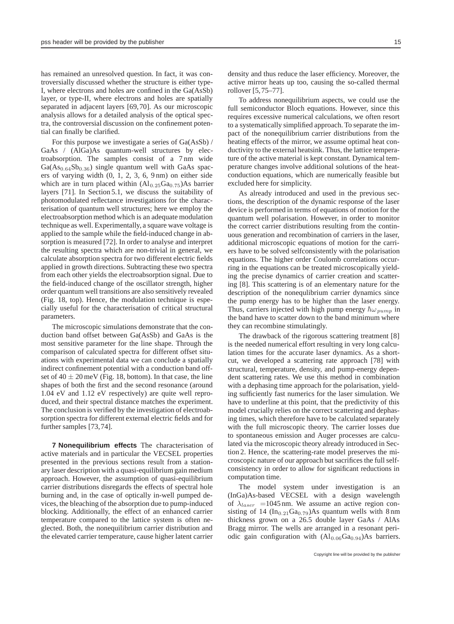has remained an unresolved question. In fact, it was controversially discussed whether the structure is either type-I, where electrons and holes are confined in the Ga(AsSb) layer, or type-II, where electrons and holes are spatially separated in adjacent layers [69,70]. As our microscopic analysis allows for a detailed analysis of the optical spectra, the controversial discussion on the confinement potential can finally be clarified.

For this purpose we investigate a series of Ga(AsSb) / GaAs / (AlGa)As quantum-well structures by electroabsorption. The samples consist of a 7 nm wide  $Ga(As<sub>0.64</sub>Sb<sub>0.36</sub>)$  single quantum well with GaAs spacers of varying width (0, 1, 2, 3, 6, 9 nm) on either side which are in turn placed within  $(Al_{0.25}Ga<sub>0.75</sub>)As barrier$ layers [71]. In Section 5.1, we discuss the suitability of photomodulated reflectance investigations for the characterisation of quantum well structures; here we employ the electroabsorption method which is an adequate modulation technique as well. Experimentally, a square wave voltage is applied to the sample while the field-induced change in absorption is measured [72]. In order to analyse and interpret the resulting spectra which are non-trivial in general, we calculate absorption spectra for two different electric fields applied in growth directions. Subtracting these two spectra from each other yields the electroabsorption signal. Due to the field-induced change of the oscillator strength, higher order quantum well transitions are also sensitively revealed (Fig. 18, top). Hence, the modulation technique is especially useful for the characterisation of critical structural parameters.

The microscopic simulations demonstrate that the conduction band offset between Ga(AsSb) and GaAs is the most sensitive parameter for the line shape. Through the comparison of calculated spectra for different offset situations with experimental data we can conclude a spatially indirect confinement potential with a conduction band offset of  $40 \pm 20$  meV (Fig. 18, bottom). In that case, the line shapes of both the first and the second resonance (around 1.04 eV and 1.12 eV respectively) are quite well reproduced, and their spectral distance matches the experiment. The conclusion is verified by the investigation of electroabsorption spectra for different external electric fields and for further samples [73,74].

**7 Nonequilibrium effects** The characterisation of active materials and in particular the VECSEL properties presented in the previous sections result from a stationary laser description with a quasi-equilibrium gain medium approach. However, the assumption of quasi-equilibrium carrier distributions disregards the effects of spectral hole burning and, in the case of optically in-well pumped devices, the bleaching of the absorption due to pump-induced blocking. Additionally, the effect of an enhanced carrier temperature compared to the lattice system is often neglected. Both, the nonequilibrium carrier distribution and the elevated carrier temperature, cause higher latent carrier

density and thus reduce the laser efficiency. Moreover, the active mirror heats up too, causing the so-called thermal rollover [5,75–77].

To address nonequilibrium aspects, we could use the full semiconductor Bloch equations. However, since this requires excessive numerical calculations, we often resort to a systematically simplified approach. To separate the impact of the nonequilibrium carrier distributions from the heating effects of the mirror, we assume optimal heat conductivity to the external heatsink. Thus, the lattice temperature of the active material is kept constant. Dynamical temperature changes involve additional solutions of the heatconduction equations, which are numerically feasible but excluded here for simplicity.

As already introduced and used in the previous sections, the description of the dynamic response of the laser device is performed in terms of equations of motion for the quantum well polarisation. However, in order to monitor the correct carrier distributions resulting from the continuous generation and recombination of carriers in the laser, additional microscopic equations of motion for the carriers have to be solved selfconsistently with the polarisation equations. The higher order Coulomb correlations occurring in the equations can be treated microscopically yielding the precise dynamics of carrier creation and scattering [8]. This scattering is of an elementary nature for the description of the nonequlibrium carrier dynamics since the pump energy has to be higher than the laser energy. Thus, carriers injected with high pump energy  $\hbar\omega_{numn}$  in the band have to scatter down to the band minimum where they can recombine stimulatingly.

The drawback of the rigorous scattering treatment [8] is the needed numerical effort resulting in very long calculation times for the accurate laser dynamics. As a shortcut, we developed a scattering rate approach [78] with structural, temperature, density, and pump-energy dependent scattering rates. We use this method in combination with a dephasing time approach for the polarisation, yielding sufficiently fast numerics for the laser simulation. We have to underline at this point, that the predictivity of this model crucially relies on the correct scattering and dephasing times, which therefore have to be calculated separately with the full microscopic theory. The carrier losses due to spontaneous emission and Auger processes are calculated via the microscopic theory already introduced in Section 2. Hence, the scattering-rate model preserves the microscopic nature of our approach but sacrifices the full selfconsistency in order to allow for significant reductions in computation time.

The model system under investigation is an (InGa)As-based VECSEL with a design wavelength of  $\lambda_{laser}$  =1045 nm. We assume an active region consisting of 14 ( $In_{0.21}Ga_{0.79}$ )As quantum wells with 8 nm thickness grown on a 26.5 double layer GaAs / AlAs Bragg mirror. The wells are arranged in a resonant periodic gain configuration with  $(Al_{0.06}Ga_{0.94})$ As barriers.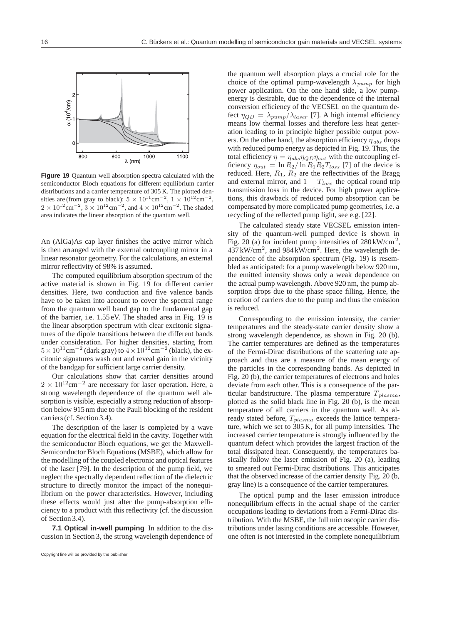

**Figure 19** Quantum well absorption spectra calculated with the semiconductor Bloch equations for different equilibrium carrier distributions and a carrier temperature of 305 K. The plotted densities are (from gray to black):  $5 \times 10^{11}$ cm<sup>-2</sup>,  $1 \times 10^{12}$ cm<sup>-2</sup>  $2 \times 10^{12}$  cm<sup>-2</sup>,  $3 \times 10^{12}$  cm<sup>-2</sup>, and  $4 \times 10^{12}$  cm<sup>-2</sup>. The shaded area indicates the linear absorption of the quantum well.

An (AlGa)As cap layer finishes the active mirror which is then arranged with the external outcoupling mirror in a linear resonator geometry. For the calculations, an external mirror reflectivity of 98% is assumed.

The computed equilibrium absorption spectrum of the active material is shown in Fig. 19 for different carrier densities. Here, two conduction and five valence bands have to be taken into account to cover the spectral range from the quantum well band gap to the fundamental gap of the barrier, i.e. 1.55 eV. The shaded area in Fig. 19 is the linear absorption spectrum with clear excitonic signatures of the dipole transitions between the different bands under consideration. For higher densities, starting from 5×1011cm*<sup>−</sup>*<sup>2</sup> (dark gray) to 4×1012cm*<sup>−</sup>*<sup>2</sup> (black), the excitonic signatures wash out and reveal gain in the vicinity of the bandgap for sufficient large carrier density.

Our calculations show that carrier densities around 2 × 10<sup>12</sup>cm<sup>−2</sup> are necessary for laser operation. Here, a strong wavelength dependence of the quantum well absorption is visible, especially a strong reduction of absorption below 915 nm due to the Pauli blocking of the resident carriers (cf. Section 3.4).

The description of the laser is completed by a wave equation for the electrical field in the cavity. Together with the semiconductor Bloch equations, we get the Maxwell-Semiconductor Bloch Equations (MSBE), which allow for the modelling of the coupled electronic and optical features of the laser [79]. In the description of the pump field, we neglect the spectrally dependent reflection of the dielectric structure to directly monitor the impact of the nonequilibrium on the power characteristics. However, including these effects would just alter the pump-absorption efficiency to a product with this reflectivity (cf. the discussion of Section 3.4).

**7.1 Optical in-well pumping** In addition to the discussion in Section 3, the strong wavelength dependence of the quantum well absorption plays a crucial role for the choice of the optimal pump-wavelength  $\lambda_{pump}$  for high power application. On the one hand side, a low pumpenergy is desirable, due to the dependence of the internal conversion efficiency of the VECSEL on the quantum defect  $\eta_{QD} = \lambda_{pump}/\lambda_{laser}$  [7]. A high internal efficiency means low thermal losses and therefore less heat generation leading to in principle higher possible output powers. On the other hand, the absorption efficiency  $\eta_{abs}$  drops with reduced pump energy as depicted in Fig. 19. Thus, the total efficiency  $\eta = \eta_{abs} \eta_{QD} \eta_{out}$  with the outcoupling efficiency  $\eta_{out} = \ln R_2 / \ln R_1 R_2 T_{loss}$  [7] of the device is reduced. Here,  $R_1$ ,  $R_2$  are the reflectivities of the Bragg and external mirror, and  $1 - T_{loss}$  the optical round trip transmission loss in the device. For high power applications, this drawback of reduced pump absorption can be compensated by more complicated pump geometries, i.e. a recycling of the reflected pump light, see e.g. [22].

The calculated steady state VECSEL emission intensity of the quantum-well pumped device is shown in Fig. 20 (a) for incident pump intensities of  $280 \text{ kW/cm}^2$ ,  $437 \text{ kW/cm}^2$ , and  $984 \text{ kW/cm}^2$ . Here, the wavelength dependence of the absorption spectrum (Fig. 19) is resembled as anticipated: for a pump wavelength below 920 nm, the emitted intensity shows only a weak dependence on the actual pump wavelength. Above 920 nm, the pump absorption drops due to the phase space filling. Hence, the creation of carriers due to the pump and thus the emission is reduced.

Corresponding to the emission intensity, the carrier temperatures and the steady-state carrier density show a strong wavelength dependence, as shown in Fig. 20 (b). The carrier temperatures are defined as the temperatures of the Fermi-Dirac distributions of the scattering rate approach and thus are a measure of the mean energy of the particles in the corresponding bands. As depicted in Fig. 20 (b), the carrier temperatures of electrons and holes deviate from each other. This is a consequence of the particular bandstructure. The plasma temperature  $T_{plasma}$ , plotted as the solid black line in Fig. 20 (b), is the mean temperature of all carriers in the quantum well. As already stated before,  $T_{plasma}$  exceeds the lattice temperature, which we set to  $305$  K, for all pump intensities. The increased carrier temperature is strongly influenced by the quantum defect which provides the largest fraction of the total dissipated heat. Consequently, the temperatures basically follow the laser emission of Fig. 20 (a), leading to smeared out Fermi-Dirac distributions. This anticipates that the observed increase of the carrier density Fig. 20 (b, gray line) is a consequence of the carrier temperatures.

The optical pump and the laser emission introduce nonequilibrium effects in the actual shape of the carrier occupations leading to deviations from a Fermi-Dirac distribution. With the MSBE, the full microscopic carrier distributions under lasing conditions are accessible. However, one often is not interested in the complete nonequilibrium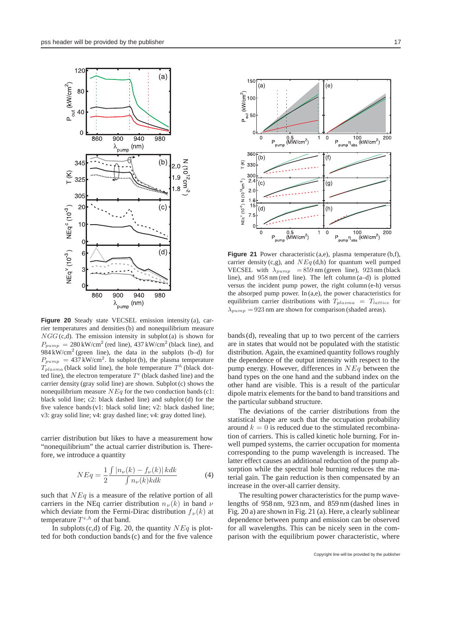

**Figure 20** Steady state VECSEL emission intensity (a), carrier temperatures and densities (b) and nonequilibrium measure  $NGG$  (c,d). The emission intensity in subplot (a) is shown for  $P_{pump} = 280 \,\text{kW/cm}^2$  (red line), 437 kW/cm<sup>2</sup> (black line), and 984 kW/cm<sup>2</sup> (green line), the data in the subplots (b–d) for  $P_{pump} = 437 \text{ kW/cm}^2$ . In subplot (b), the plasma temperature  $T_{plasma}$  (black solid line), the hole temperature  $T<sup>h</sup>$  (black dotted line), the electron temperature  $T<sup>e</sup>$  (black dashed line) and the carrier density (gray solid line) are shown. Subplot (c) shows the nonequilibrium measure  $NEq$  for the two conduction bands (c1: black solid line; c2: black dashed line) and subplot (d) for the five valence bands (v1: black solid line; v2: black dashed line; v3: gray solid line; v4: gray dashed line; v4: gray dotted line).

carrier distribution but likes to have a measurement how "nonequilibrium" the actual carrier distribution is. Therefore, we introduce a quantity

$$
NEq = \frac{1}{2} \frac{\int |n_{\nu}(k) - f_{\nu}(k)| k dk}{\int n_{\nu}(k) k dk}
$$
(4)

such that  $NEq$  is a measure of the relative portion of all carriers in the NEq carrier distribution  $n_{\nu}(k)$  in band  $\nu$ which deviate from the Fermi-Dirac distribution  $f_{\nu}(k)$  at temperature  $T^{e,h}$  of that band.

In subplots (c,d) of Fig. 20, the quantity  $NEq$  is plotted for both conduction bands (c) and for the five valence



**Figure 21** Power characteristic (a,e), plasma temperature (b,f), carrier density (c,g), and  $NEq$  (d,h) for quantum well pumped VECSEL with  $\lambda_{pump}$  = 859 nm (green line), 923 nm (black line), and 958 nm (red line). The left column (a–d) is plotted versus the incident pump power, the right column (e-h) versus the absorped pump power. In (a,e), the power characteristics for equilibrium carrier distributions with T*plasma* = T*lattice* for  $\lambda_{pump} = 923$  nm are shown for comparison (shaded areas).

bands (d), revealing that up to two percent of the carriers are in states that would not be populated with the statistic distribution. Again, the examined quantity follows roughly the dependence of the output intensity with respect to the pump energy. However, differences in  $NEq$  between the band types on the one hand and the subband index on the other hand are visible. This is a result of the particular dipole matrix elements for the band to band transitions and the particular subband structure.

The deviations of the carrier distributions from the statistical shape are such that the occupation probability around  $k = 0$  is reduced due to the stimulated recombination of carriers. This is called kinetic hole burning. For inwell pumped systems, the carrier occupation for momenta corresponding to the pump wavelength is increased. The latter effect causes an additional reduction of the pump absorption while the spectral hole burning reduces the material gain. The gain reduction is then compensated by an increase in the over-all carrier density.

The resulting power characteristics for the pump wavelengths of 958 nm, 923 nm, and 859 nm (dashed lines in Fig. 20 a) are shown in Fig. 21 (a). Here, a clearly sublinear dependence between pump and emission can be observed for all wavelengths. This can be nicely seen in the comparison with the equilibrium power characteristic, where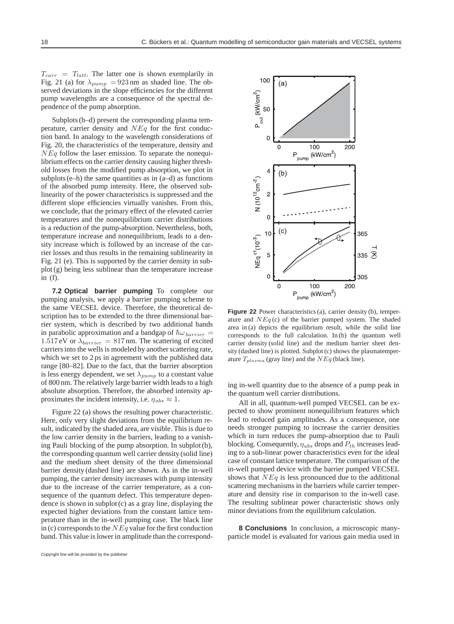$T_{carr}$  =  $T_{latt}$ . The latter one is shown exemplarily in Fig. 21 (a) for  $\lambda_{pump} = 923 \text{ nm}$  as shaded line. The observed deviations in the slope efficiencies for the different pump wavelengths are a consequence of the spectral dependence of the pump absorption.

Subplots (b–d) present the corresponding plasma temperature, carrier density and  $NEq$  for the first conduction band. In analogy to the wavelength considerations of Fig. 20, the characteristics of the temperature, density and  $NEq$  follow the laser emission. To separate the nonequilibrium effects on the carrier density causing higher threshold losses from the modified pump absorption, we plot in subplots  $(e-h)$  the same quantities as in  $(a-d)$  as functions of the absorbed pump intensity. Here, the observed sublinearity of the power characteristics is suppressed and the different slope efficiencies virtually vanishes. From this, we conclude, that the primary effect of the elevated carrier temperatures and the nonequilibrium carrier distributions is a reduction of the pump-absorption. Nevertheless, both, temperature increase and nonequilibrium, leads to a density increase which is followed by an increase of the carrier losses and thus results in the remaining sublinearity in Fig. 21 (e). This is supported by the carrier density in subplot (g) being less sublinear than the temperature increase in (f).

**7.2 Optical barrier pumping** To complete our pumping analysis, we apply a barrier pumping scheme to the same VECSEL device. Therefore, the theoretical description has to be extended to the three dimensional barrier system, which is described by two additional bands in parabolic approximation and a bandgap of  $\hbar\omega_{barrier}$  = 1.517 eV or  $\lambda_{barrier} = 817$  nm. The scattering of excited carriers into the wells is modeled by another scattering rate, which we set to 2 ps in agreement with the published data range [80–82]. Due to the fact, that the barrier absorption is less energy dependent, we set  $\lambda_{pump}$  to a constant value of 800 nm. The relatively large barrier width leads to a high absolute absorption. Therefore, the absorbed intensity approximates the incident intensity, i.e.  $\eta_{abs} \approx 1$ .

Figure 22 (a) shows the resulting power characteristic. Here, only very slight deviations from the equilibrium result, indicated by the shaded area, are visible. This is due to the low carrier density in the barriers, leading to a vanishing Pauli blocking of the pump absorption. In subplot (b), the corresponding quantum well carrier density (solid line) and the medium sheet density of the three dimensional barrier density (dashed line) are shown. As in the in-well pumping, the carrier density increases with pump intensity due to the increase of the carrier temperature, as a consequence of the quantum defect. This temperature dependence is shown in subplot (c) as a gray line, displaying the expected higher deviations from the constant lattice temperature than in the in-well pumping case. The black line in (c) corresponds to the  $NEq$  value for the first conduction band. This value is lower in amplitude than the correspond-



**Figure 22** Power characteristics (a), carrier density (b), temperature and  $NEq$  (c) of the barrier pumped system. The shaded area in (a) depicts the equilibrium result, while the solid line corresponds to the full calculation. In (b) the quantum well carrier density (solid line) and the medium barrier sheet density (dashed line) is plotted. Subplot (c) shows the plasmatemperature  $T_{plasma}$  (gray line) and the  $NEq$  (black line).

ing in-well quantity due to the absence of a pump peak in the quantum well carrier distributions.

All in all, quantum-well pumped VECSEL can be expected to show prominent nonequilibrium features which lead to reduced gain amplitudes. As a consequence, one needs stronger pumping to increase the carrier densities which in turn reduces the pump-absorption due to Pauli blocking. Consequently,  $\eta_{abs}$  drops and  $P_{th}$  increases leading to a sub-linear power characteristics even for the ideal case of constant lattice temperature. The comparison of the in-well pumped device with the barrier pumped VECSEL shows that  $NEq$  is less pronounced due to the additional scattering mechanisms in the barriers while carrier temperature and density rise in comparison to the in-well case. The resulting sublinear power characteristic shows only minor deviations from the equilibrium calculation.

**8 Conclusions** In conclusion, a microscopic manyparticle model is evaluated for various gain media used in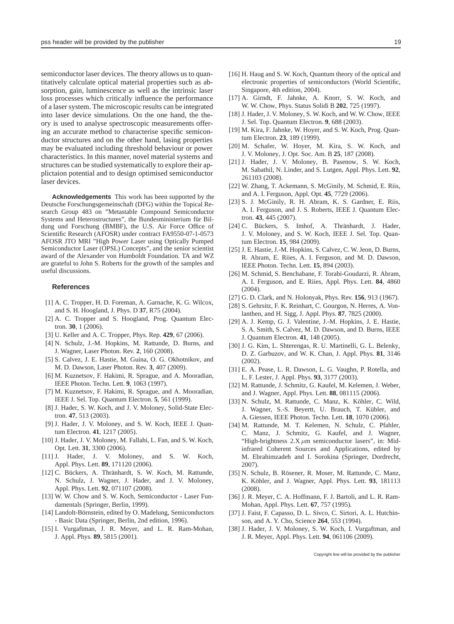semiconductor laser devices. The theory allows us to quantitatively calculate optical material properties such as absorption, gain, luminescence as well as the intrinsic laser loss processes which critically influence the performance of a laser system. The microscopic results can be integrated into laser device simulations. On the one hand, the theory is used to analyse spectroscopic measurements offering an accurate method to characterise specific semiconductor structures and on the other hand, lasing properties may be evaluated including threshold behaviour or power characteristics. In this manner, novel material systems and structures can be studied systematically to explore their applictaion potential and to design optimised semiconductor laser devices.

**Acknowledgements** This work has been supported by the Deutsche Forschungsgemeinschaft (DFG) within the Topical Research Group 483 on "Metastable Compound Semiconductor Systems and Heterostructures", the Bundesministerium für Bildung und Forschung (BMBF), the U.S. Air Force Office of Scientific Research (AFOSR) under contract FA9550-07-1-0573 AFOSR JTO MRI "High Power Laser using Optically Pumped Semiconductor Laser (OPSL) Concepts", and the senior scientist award of the Alexander von Humboldt Foundation. TA and WZ are grateful to John S. Roberts for the growth of the samples and useful discussions.

## **References**

- [1] A. C. Tropper, H. D. Foreman, A. Garnache, K. G. Wilcox, and S. H. Hoogland, J. Phys. D **37**, R75 (2004).
- [2] A. C. Tropper and S. Hoogland, Prog. Quantum Electron. **30**, 1 (2006).
- [3] U. Keller and A. C. Tropper, Phys. Rep. **429**, 67 (2006).
- [4] N. Schulz, J.-M. Hopkins, M. Rattunde, D. Burns, and J. Wagner, Laser Photon. Rev. **2**, 160 (2008).
- [5] S. Calvez, J. E. Hastie, M. Guina, O. G. Okhotnikov, and M. D. Dawson, Laser Photon. Rev. **3**, 407 (2009).
- [6] M. Kuznetsov, F. Hakimi, R. Sprague, and A. Mooradian, IEEE Photon. Techn. Lett. **9**, 1063 (1997).
- [7] M. Kuznetsov, F. Hakimi, R. Sprague, and A. Mooradian, IEEE J. Sel. Top. Quantum Electron. **5**, 561 (1999).
- [8] J. Hader, S. W. Koch, and J. V. Moloney, Solid-State Electron. **47**, 513 (2003).
- [9] J. Hader, J. V. Moloney, and S. W. Koch, IEEE J. Quantum Electron. **41**, 1217 (2005).
- [10] J. Hader, J. V. Moloney, M. Fallahi, L. Fan, and S. W. Koch, Opt. Lett. **31**, 3300 (2006).
- [11] J. Hader, J. V. Moloney, and S. W. Koch, Appl. Phys. Lett. **89**, 171120 (2006).
- [12] C. Bückers, A. Thränhardt, S. W. Koch, M. Rattunde, N. Schulz, J. Wagner, J. Hader, and J. V. Moloney, Appl. Phys. Lett. **92**, 071107 (2008).
- [13] W. W. Chow and S. W. Koch, Semiconductor Laser Fundamentals (Springer, Berlin, 1999).
- [14] Landolt-Börnstein, edited by O. Madelung, Semiconductors - Basic Data (Springer, Berlin, 2nd edition, 1996).
- [15] I. Vurgaftman, J. R. Meyer, and L. R. Ram-Mohan, J. Appl. Phys. **89**, 5815 (2001).
- Singapore, 4th edition, 2004). [17] A. Girndt, F. Jahnke, A. Knorr, S. W. Koch, and W. W. Chow, Phys. Status Solidi B **202**, 725 (1997).
- [18] J. Hader, J. V. Moloney, S. W. Koch, and W. W. Chow, IEEE J. Sel. Top. Quantum Electron. **9**, 688 (2003).
- [19] M. Kira, F. Jahnke, W. Hoyer, and S. W. Koch, Prog. Quantum Electron. **23**, 189 (1999).
- [20] M. Schafer, W. Hoyer, M. Kira, S. W. Koch, and J. V. Moloney, J. Opt. Soc. Am. B **25**, 187 (2008).
- [21] J. Hader, J. V. Moloney, B. Pasenow, S. W. Koch, M. Sabathil, N. Linder, and S. Lutgen, Appl. Phys. Lett. **92**, 261103 (2008).
- [22] W. Zhang, T. Ackemann, S. McGinily, M. Schmid, E. Riis, and A. I. Ferguson, Appl. Opt. **45**, 7729 (2006).
- [23] S. J. McGinily, R. H. Abram, K. S. Gardner, E. Riis, A. I. Ferguson, and J. S. Roberts, IEEE J. Quantum Electron. **43**, 445 (2007).
- [24] C. Bückers, S. Imhof, A. Thränhardt, J. Hader, J. V. Moloney, and S. W. Koch, IEEE J. Sel. Top. Quantum Electron. **15**, 984 (2009).
- [25] J. E. Hastie, J.-M. Hopkins, S. Calvez, C. W. Jeon, D. Burns, R. Abram, E. Riies, A. I. Ferguson, and M. D. Dawson, IEEE Photon. Techn. Lett. **15**, 894 (2003).
- [26] M. Schmid, S. Benchabane, F. Torabi-Goudarzi, R. Abram, A. I. Ferguson, and E. Riies, Appl. Phys. Lett. **84**, 4860 (2004).
- [27] G. D. Clark, and N. Holonyak, Phys. Rev. **156**, 913 (1967).
- [28] S. Gehrsitz, F. K. Reinhart, C. Gourgon, N. Herres, A. Vonlanthen, and H. Sigg, J. Appl. Phys. **87**, 7825 (2000).
- [29] A. J. Kemp, G. J. Valentine, J.-M. Hopkins, J. E. Hastie, S. A. Smith, S. Calvez, M. D. Dawson, and D. Burns, IEEE J. Quantum Electron. **41**, 148 (2005).
- [30] J. G. Kim, L. Shterengas, R. U. Martinelli, G. L. Belenky, D. Z. Garbuzov, and W. K. Chan, J. Appl. Phys. **81**, 3146 (2002).
- [31] E. A. Pease, L. R. Dawson, L. G. Vaughn, P. Rotella, and L. F. Lester, J. Appl. Phys. **93**, 3177 (2003).
- [32] M. Rattunde, J. Schmitz, G. Kaufel, M. Kelemen, J. Weber, and J. Wagner, Appl. Phys. Lett. **88**, 081115 (2006).
- [33] N. Schulz, M. Rattunde, C. Manz, K. Köhler, C. Wild, J. Wagner, S.-S. Beyertt, U. Brauch, T. Kübler, and A. Giessen, IEEE Photon. Techn. Lett. **18**, 1070 (2006).
- [34] M. Rattunde, M. T. Kelemen, N. Schulz, C. Pfahler, C. Manz, J. Schmitz, G. Kaufel, and J. Wagner, "High-brightness  $2.X \mu m$  semiconductor lasers", in: Midinfrared Coherent Sources and Applications, edited by M. Ebrahimzadeh and I. Sorokina (Springer, Dordrecht, 2007).
- [35] N. Schulz, B. Rösener, R. Moser, M. Rattunde, C. Manz, K. Köhler, and J. Wagner, Appl. Phys. Lett. 93, 181113 (2008).
- [36] J. R. Meyer, C. A. Hoffmann, F. J. Bartoli, and L. R. Ram-Mohan, Appl. Phys. Lett. **67**, 757 (1995).
- [37] J. Faist, F. Capasso, D. L. Sivco, C. Sirtori, A. L. Hutchinson, and A. Y. Cho, Science **264**, 553 (1994).
- [38] J. Hader, J. V. Moloney, S. W. Koch, I. Vurgaftman, and J. R. Meyer, Appl. Phys. Lett. **94**, 061106 (2009).